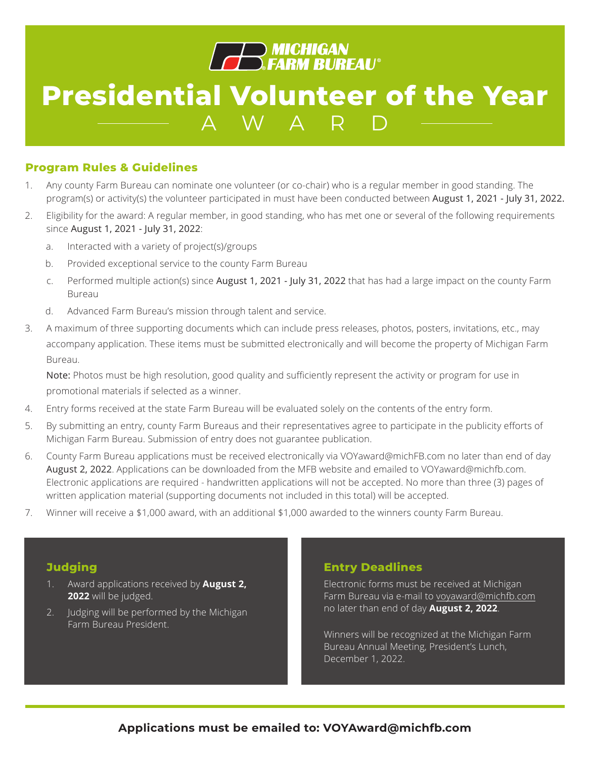

#### **Program Rules & Guidelines**

- 1. Any county Farm Bureau can nominate one volunteer (or co-chair) who is a regular member in good standing. The program(s) or activity(s) the volunteer participated in must have been conducted between August 1, 2021 - July 31, 2022.
- 2. Eligibility for the award: A regular member, in good standing, who has met one or several of the following requirements since August 1, 2021 - July 31, 2022:
	- a. Interacted with a variety of project(s)/groups
	- b. Provided exceptional service to the county Farm Bureau
	- c. Performed multiple action(s) since August 1, 2021 July 31, 2022 that has had a large impact on the county Farm Bureau
	- d. Advanced Farm Bureau's mission through talent and service.
- 3. A maximum of three supporting documents which can include press releases, photos, posters, invitations, etc., may accompany application. These items must be submitted electronically and will become the property of Michigan Farm Bureau.

Note: Photos must be high resolution, good quality and sufficiently represent the activity or program for use in promotional materials if selected as a winner.

- 4. Entry forms received at the state Farm Bureau will be evaluated solely on the contents of the entry form.
- 5. By submitting an entry, county Farm Bureaus and their representatives agree to participate in the publicity efforts of Michigan Farm Bureau. Submission of entry does not guarantee publication.
- 6. County Farm Bureau applications must be received electronically via VOYaward@michFB.com no later than end of day August 2, 2022. Applications can be downloaded from the MFB website and emailed to VOYaward@michfb.com. Electronic applications are required - handwritten applications will not be accepted. No more than three (3) pages of written application material (supporting documents not included in this total) will be accepted.
- 7. Winner will receive a \$1,000 award, with an additional \$1,000 awarded to the winners county Farm Bureau.

#### **Judging**

- 1. Award applications received by **August 2, 2022** will be judged.
- 2. Judging will be performed by the Michigan Farm Bureau President.

#### **Entry Deadlines**

Electronic forms must be received at Michigan Farm Bureau via e-mail to voyaward@michfb.com no later than end of day **August 2, 2022**.

Winners will be recognized at the Michigan Farm Bureau Annual Meeting, President's Lunch, December 1, 2022.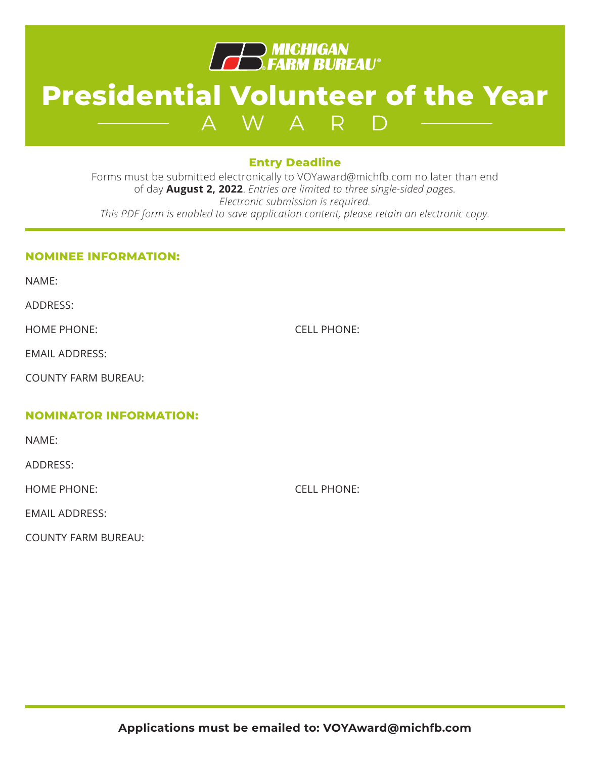

### **Entry Deadline**

Forms must be submitted electronically to VOYaward@michfb.com no later than end of day **August 2, 2022**. *Entries are limited to three single-sided pages. Electronic submission is required. This PDF form is enabled to save application content, please retain an electronic copy.*

### **NOMINEE INFORMATION:**

NAME:

ADDRESS:

HOME PHONE: CELL PHONE:

EMAIL ADDRESS:

COUNTY FARM BUREAU:

### **NOMINATOR INFORMATION:**

NAME:

ADDRESS:

HOME PHONE: CELL PHONE:

EMAIL ADDRESS:

COUNTY FARM BUREAU: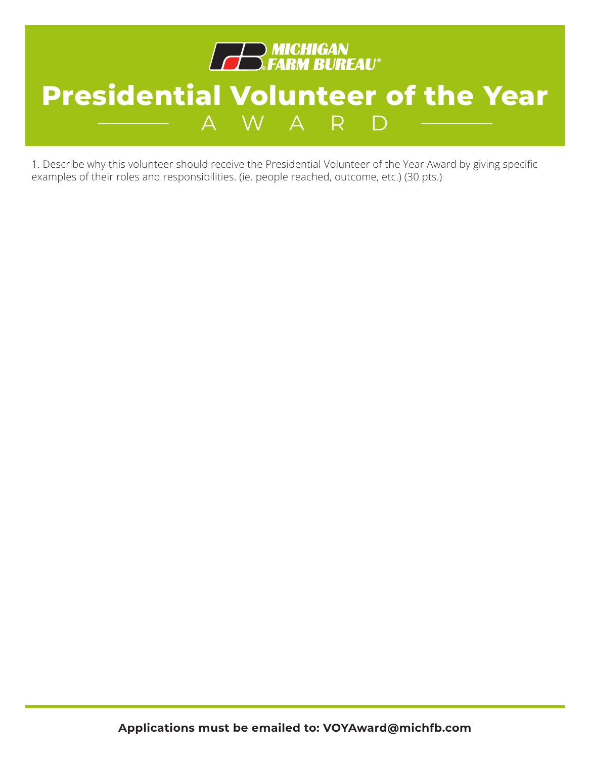

1. Describe why this volunteer should receive the Presidential Volunteer of the Year Award by giving specific examples of their roles and responsibilities. (ie. people reached, outcome, etc.) (30 pts.)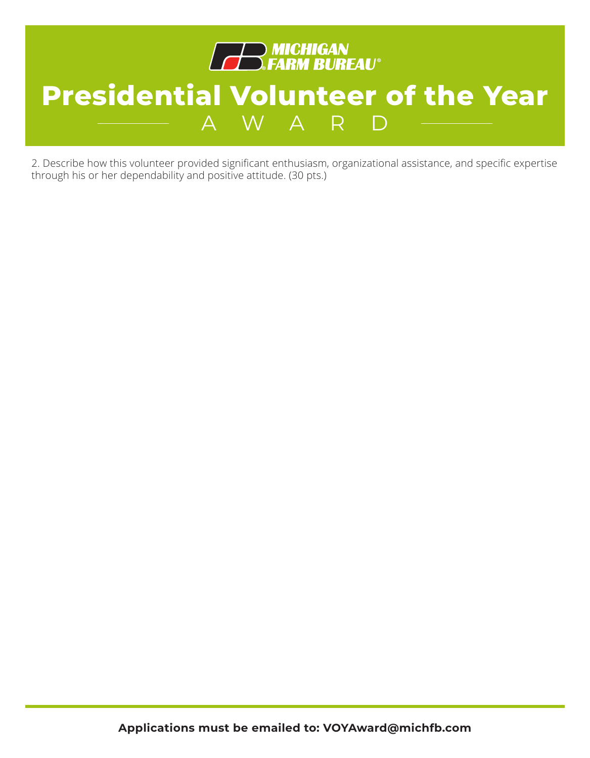

2. Describe how this volunteer provided significant enthusiasm, organizational assistance, and specific expertise through his or her dependability and positive attitude. (30 pts.)